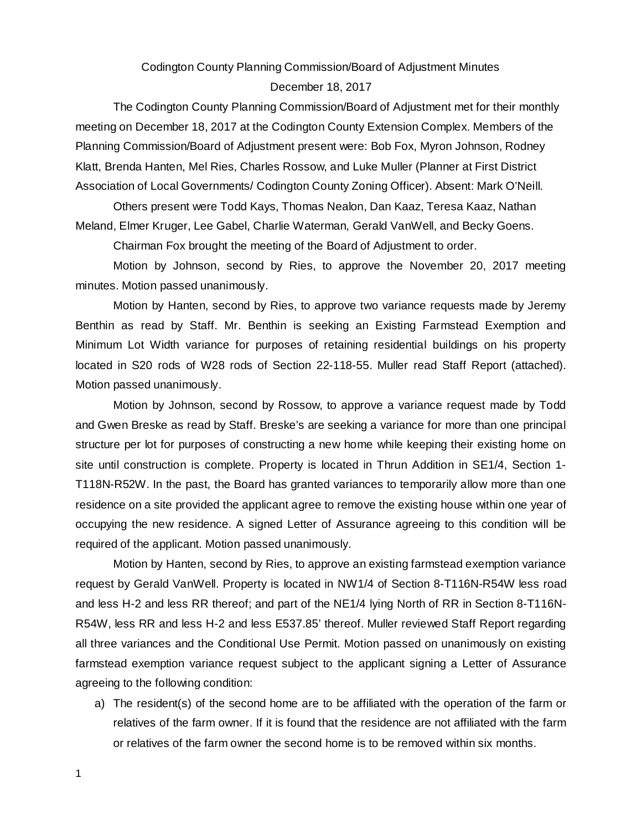# Codington County Planning Commission/Board of Adjustment Minutes

#### December 18, 2017

The Codington County Planning Commission/Board of Adjustment met for their monthly meeting on December 18, 2017 at the Codington County Extension Complex. Members of the Planning Commission/Board of Adjustment present were: Bob Fox, Myron Johnson, Rodney Klatt, Brenda Hanten, Mel Ries, Charles Rossow, and Luke Muller (Planner at First District Association of Local Governments/ Codington County Zoning Officer). Absent: Mark O'Neill.

Others present were Todd Kays, Thomas Nealon, Dan Kaaz, Teresa Kaaz, Nathan Meland, Elmer Kruger, Lee Gabel, Charlie Waterman, Gerald VanWell, and Becky Goens.

Chairman Fox brought the meeting of the Board of Adjustment to order.

Motion by Johnson, second by Ries, to approve the November 20, 2017 meeting minutes. Motion passed unanimously.

Motion by Hanten, second by Ries, to approve two variance requests made by Jeremy Benthin as read by Staff. Mr. Benthin is seeking an Existing Farmstead Exemption and Minimum Lot Width variance for purposes of retaining residential buildings on his property located in S20 rods of W28 rods of Section 22-118-55. Muller read Staff Report (attached). Motion passed unanimously.

Motion by Johnson, second by Rossow, to approve a variance request made by Todd and Gwen Breske as read by Staff. Breske's are seeking a variance for more than one principal structure per lot for purposes of constructing a new home while keeping their existing home on site until construction is complete. Property is located in Thrun Addition in SE1/4, Section 1- T118N-R52W. In the past, the Board has granted variances to temporarily allow more than one residence on a site provided the applicant agree to remove the existing house within one year of occupying the new residence. A signed Letter of Assurance agreeing to this condition will be required of the applicant. Motion passed unanimously.

Motion by Hanten, second by Ries, to approve an existing farmstead exemption variance request by Gerald VanWell. Property is located in NW1/4 of Section 8-T116N-R54W less road and less H-2 and less RR thereof; and part of the NE1/4 lying North of RR in Section 8-T116N-R54W, less RR and less H-2 and less E537.85' thereof. Muller reviewed Staff Report regarding all three variances and the Conditional Use Permit. Motion passed on unanimously on existing farmstead exemption variance request subject to the applicant signing a Letter of Assurance agreeing to the following condition:

a) The resident(s) of the second home are to be affiliated with the operation of the farm or relatives of the farm owner. If it is found that the residence are not affiliated with the farm or relatives of the farm owner the second home is to be removed within six months.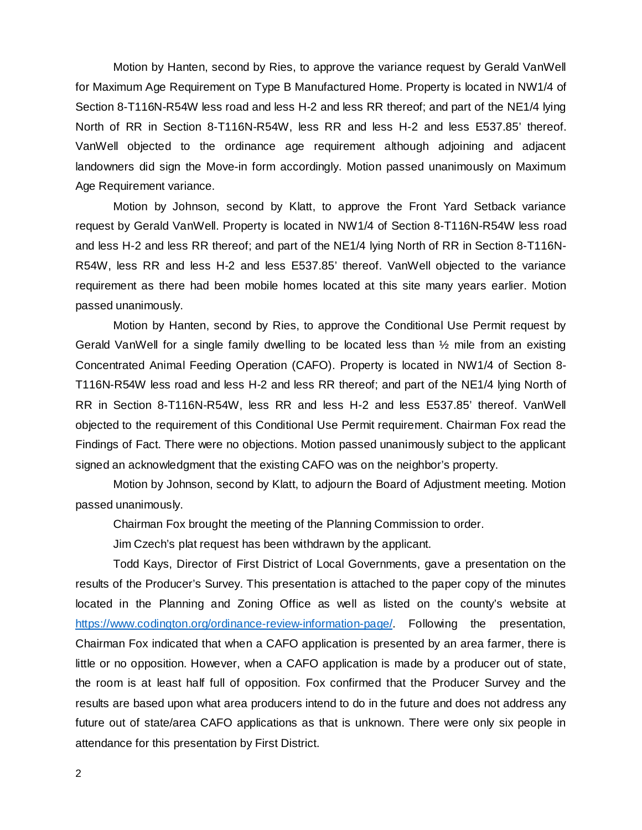Motion by Hanten, second by Ries, to approve the variance request by Gerald VanWell for Maximum Age Requirement on Type B Manufactured Home. Property is located in NW1/4 of Section 8-T116N-R54W less road and less H-2 and less RR thereof; and part of the NE1/4 lying North of RR in Section 8-T116N-R54W, less RR and less H-2 and less E537.85' thereof. VanWell objected to the ordinance age requirement although adjoining and adjacent landowners did sign the Move-in form accordingly. Motion passed unanimously on Maximum Age Requirement variance.

Motion by Johnson, second by Klatt, to approve the Front Yard Setback variance request by Gerald VanWell. Property is located in NW1/4 of Section 8-T116N-R54W less road and less H-2 and less RR thereof; and part of the NE1/4 lying North of RR in Section 8-T116N-R54W, less RR and less H-2 and less E537.85' thereof. VanWell objected to the variance requirement as there had been mobile homes located at this site many years earlier. Motion passed unanimously.

Motion by Hanten, second by Ries, to approve the Conditional Use Permit request by Gerald VanWell for a single family dwelling to be located less than  $\frac{1}{2}$  mile from an existing Concentrated Animal Feeding Operation (CAFO). Property is located in NW1/4 of Section 8- T116N-R54W less road and less H-2 and less RR thereof; and part of the NE1/4 lying North of RR in Section 8-T116N-R54W, less RR and less H-2 and less E537.85' thereof. VanWell objected to the requirement of this Conditional Use Permit requirement. Chairman Fox read the Findings of Fact. There were no objections. Motion passed unanimously subject to the applicant signed an acknowledgment that the existing CAFO was on the neighbor's property.

Motion by Johnson, second by Klatt, to adjourn the Board of Adjustment meeting. Motion passed unanimously.

Chairman Fox brought the meeting of the Planning Commission to order.

Jim Czech's plat request has been withdrawn by the applicant.

Todd Kays, Director of First District of Local Governments, gave a presentation on the results of the Producer's Survey. This presentation is attached to the paper copy of the minutes located in the Planning and Zoning Office as well as listed on the county's website at https://www.codington.org/ordinance-review-information-page/. Following the presentation, Chairman Fox indicated that when a CAFO application is presented by an area farmer, there is little or no opposition. However, when a CAFO application is made by a producer out of state, the room is at least half full of opposition. Fox confirmed that the Producer Survey and the results are based upon what area producers intend to do in the future and does not address any future out of state/area CAFO applications as that is unknown. There were only six people in attendance for this presentation by First District.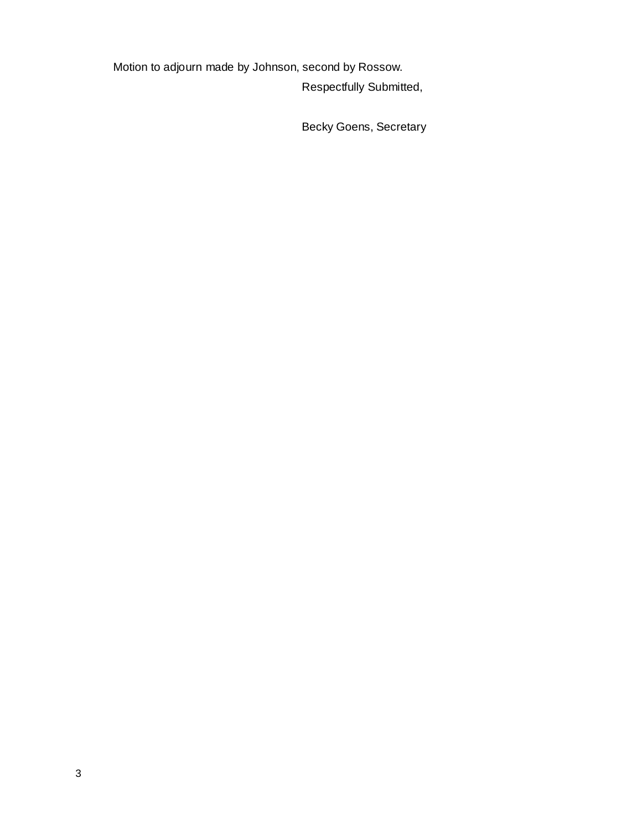Motion to adjourn made by Johnson, second by Rossow. Respectfully Submitted,

Becky Goens, Secretary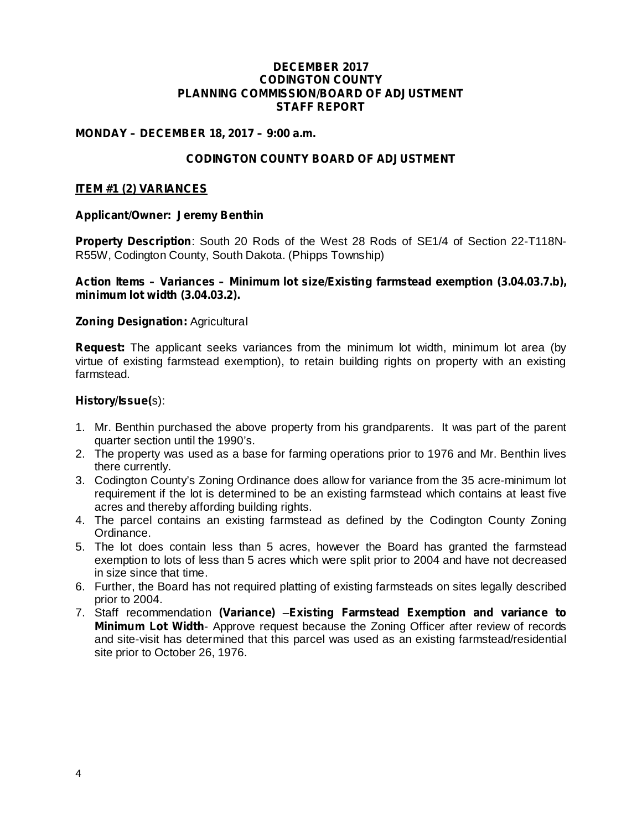#### **DECEMBER 2017 CODINGTON COUNTY PLANNING COMMISSION/BOARD OF ADJUSTMENT STAFF REPORT**

### **MONDAY – DECEMBER 18, 2017 – 9:00 a.m.**

# **CODINGTON COUNTY BOARD OF ADJUSTMENT**

#### **ITEM #1 (2) VARIANCES**

#### **Applicant/Owner: Jeremy Benthin**

Property Description: South 20 Rods of the West 28 Rods of SE1/4 of Section 22-T118N-R55W, Codington County, South Dakota. (Phipps Township)

#### **Action Items – Variances – Minimum lot size/Existing farmstead exemption (3.04.03.7.b), minimum lot width (3.04.03.2).**

#### **Zoning Designation: Agricultural**

**Request:** The applicant seeks variances from the minimum lot width, minimum lot area (by virtue of existing farmstead exemption), to retain building rights on property with an existing farmstead.

#### s): **History/Issue(**

- 1. Mr. Benthin purchased the above property from his grandparents. It was part of the parent quarter section until the 1990's.
- 2. The property was used as a base for farming operations prior to 1976 and Mr. Benthin lives there currently.
- 3. Codington County's Zoning Ordinance does allow for variance from the 35 acre-minimum lot requirement if the lot is determined to be an existing farmstead which contains at least five acres and thereby affording building rights.
- 4. The parcel contains an existing farmstead as defined by the Codington County Zoning Ordinance.
- 5. The lot does contain less than 5 acres, however the Board has granted the farmstead exemption to lots of less than 5 acres which were split prior to 2004 and have not decreased in size since that time.
- 6. Further, the Board has not required platting of existing farmsteads on sites legally described prior to 2004.
- 7. Staff recommendation (Variance) Existing Farmstead Exemption and variance to *Minimum Lot Width*- Approve request because the Zoning Officer after review of records and site-visit has determined that this parcel was used as an existing farmstead/residential site prior to October 26, 1976.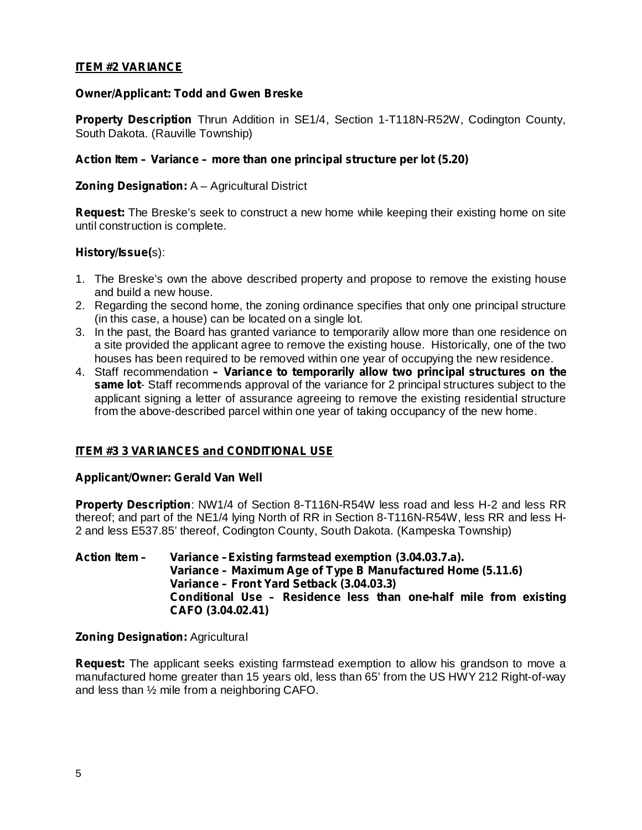# **ITEM #2 VARIANCE**

# **Owner/Applicant: Todd and Gwen Breske**

Property Description Thrun Addition in SE1/4, Section 1-T118N-R52W, Codington County, South Dakota. (Rauville Township)

# *Action Item – Variance – more than one principal structure per lot (5.20)*

# **Zoning Designation:** A – Agricultural District

Request: The Breske's seek to construct a new home while keeping their existing home on site until construction is complete.

### s): **History/Issue(**

- 1. The Breske's own the above described property and propose to remove the existing house and build a new house.
- 2. Regarding the second home, the zoning ordinance specifies that only one principal structure (in this case, a house) can be located on a single lot.
- 3. In the past, the Board has granted variance to temporarily allow more than one residence on a site provided the applicant agree to remove the existing house. Historically, one of the two houses has been required to be removed within one year of occupying the new residence.
- 4. Staff recommendation *– Variance to temporarily allow two principal structures on the* same lot-Staff recommends approval of the variance for 2 principal structures subject to the applicant signing a letter of assurance agreeing to remove the existing residential structure from the above-described parcel within one year of taking occupancy of the new home.

# **ITEM #3 3 VARIANCES and CONDITIONAL USE**

#### **Applicant/Owner: Gerald Van Well**

Property Description: NW1/4 of Section 8-T116N-R54W less road and less H-2 and less RR thereof; and part of the NE1/4 lying North of RR in Section 8-T116N-R54W, less RR and less H-2 and less E537.85' thereof, Codington County, South Dakota. (Kampeska Township)

#### **Action Item – Variance –Existing farmstead exemption (3.04.03.7.a). Variance – Maximum Age of Type B Manufactured Home (5.11.6) Variance – Front Yard Setback (3.04.03.3) Conditional Use – Residence less than one-half mile from existing CAFO (3.04.02.41)**

#### **Zoning Designation: Agricultural**

**Request:** The applicant seeks existing farmstead exemption to allow his grandson to move a manufactured home greater than 15 years old, less than 65' from the US HWY 212 Right-of-way and less than ½ mile from a neighboring CAFO.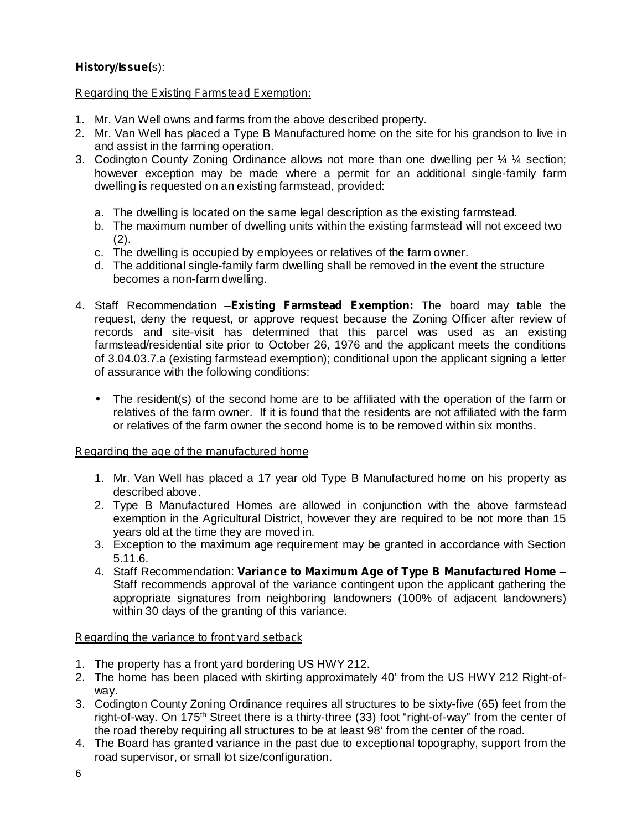# s): **History/Issue(**

# *Regarding the Existing Farmstead Exemption:*

- 1. Mr. Van Well owns and farms from the above described property.
- 2. Mr. Van Well has placed a Type B Manufactured home on the site for his grandson to live in and assist in the farming operation.
- 3. Codington County Zoning Ordinance allows not more than one dwelling per  $\frac{1}{4}$  % section; however exception may be made where a permit for an additional single-family farm dwelling is requested on an existing farmstead, provided:
	- a. The dwelling is located on the same legal description as the existing farmstead.
	- b. The maximum number of dwelling units within the existing farmstead will not exceed two (2).
	- c. The dwelling is occupied by employees or relatives of the farm owner.
	- d. The additional single-family farm dwelling shall be removed in the event the structure becomes a non-farm dwelling.
- 4. Staff Recommendation Existing Farmstead Exemption: The board may table the request, deny the request, or approve request because the Zoning Officer after review of records and site-visit has determined that this parcel was used as an existing farmstead/residential site prior to October 26, 1976 and the applicant meets the conditions of 3.04.03.7.a (existing farmstead exemption); conditional upon the applicant signing a letter of assurance with the following conditions:
	- The resident(s) of the second home are to be affiliated with the operation of the farm or relatives of the farm owner. If it is found that the residents are not affiliated with the farm or relatives of the farm owner the second home is to be removed within six months.

# *Regarding the age of the manufactured home*

- 1. Mr. Van Well has placed a 17 year old Type B Manufactured home on his property as described above.
- 2. Type B Manufactured Homes are allowed in conjunction with the above farmstead exemption in the Agricultural District, however they are required to be not more than 15 years old at the time they are moved in.
- 3. Exception to the maximum age requirement may be granted in accordance with Section 5.11.6.
- 4. Staff Recommendation: Variance to Maximum Age of Type B Manufactured Home -Staff recommends approval of the variance contingent upon the applicant gathering the appropriate signatures from neighboring landowners (100% of adjacent landowners) within 30 days of the granting of this variance.

# *Regarding the variance to front yard setback*

- 1. The property has a front yard bordering US HWY 212.
- 2. The home has been placed with skirting approximately 40' from the US HWY 212 Right-ofway.
- 3. Codington County Zoning Ordinance requires all structures to be sixty-five (65) feet from the right-of-way. On 175<sup>th</sup> Street there is a thirty-three (33) foot "right-of-way" from the center of the road thereby requiring all structures to be at least 98' from the center of the road.
- 4. The Board has granted variance in the past due to exceptional topography, support from the road supervisor, or small lot size/configuration.